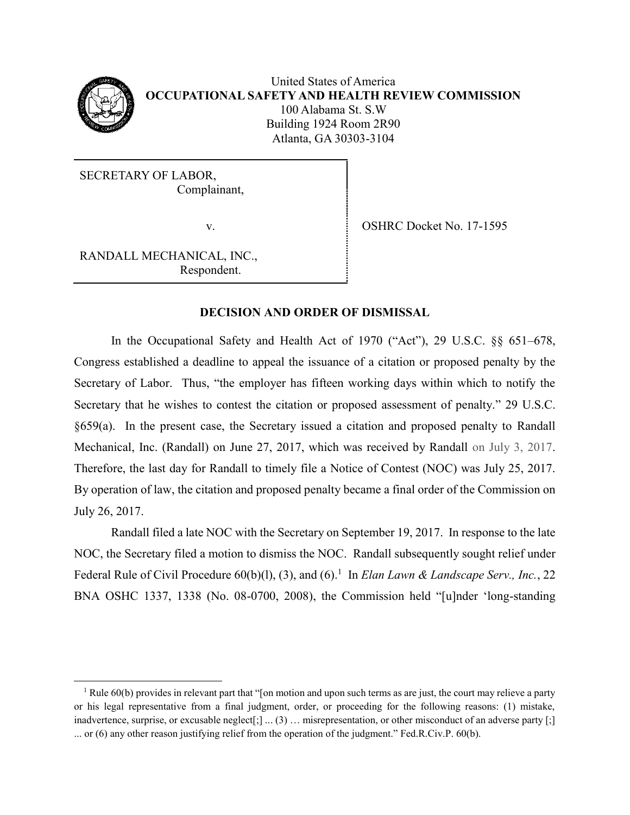

 $\overline{\phantom{a}}$ 

SECRETARY OF LABOR, Complainant,

v. SHRC Docket No. 17-1595

RANDALL MECHANICAL, INC., Respondent.

## **DECISION AND ORDER OF DISMISSAL**

In the Occupational Safety and Health Act of 1970 ("Act"), 29 U.S.C. §§ 651–678, Congress established a deadline to appeal the issuance of a citation or proposed penalty by the Secretary of Labor. Thus, "the employer has fifteen working days within which to notify the Secretary that he wishes to contest the citation or proposed assessment of penalty." 29 U.S.C. §659(a). In the present case, the Secretary issued a citation and proposed penalty to Randall Mechanical, Inc. (Randall) on June 27, 2017, which was received by Randall on July 3, 2017. Therefore, the last day for Randall to timely file a Notice of Contest (NOC) was July 25, 2017. By operation of law, the citation and proposed penalty became a final order of the Commission on July 26, 2017.

Randall filed a late NOC with the Secretary on September 19, 2017. In response to the late NOC, the Secretary filed a motion to dismiss the NOC. Randall subsequently sought relief under Federal Rule of Civil Procedure 60(b)(1), (3), and (6).<sup>1</sup> In *Elan Lawn & Landscape Serv., Inc.*, 22 BNA OSHC 1337, 1338 (No. 08-0700, 2008), the Commission held "[u]nder 'long-standing

<sup>&</sup>lt;sup>1</sup> Rule 60(b) provides in relevant part that "[on motion and upon such terms as are just, the court may relieve a party or his legal representative from a final judgment, order, or proceeding for the following reasons: (1) mistake, inadvertence, surprise, or excusable neglect $[:]$  ...  $(3)$  ... misrepresentation, or other misconduct of an adverse party  $[:]$ ... or (6) any other reason justifying relief from the operation of the judgment." Fed.R.Civ.P. 60(b).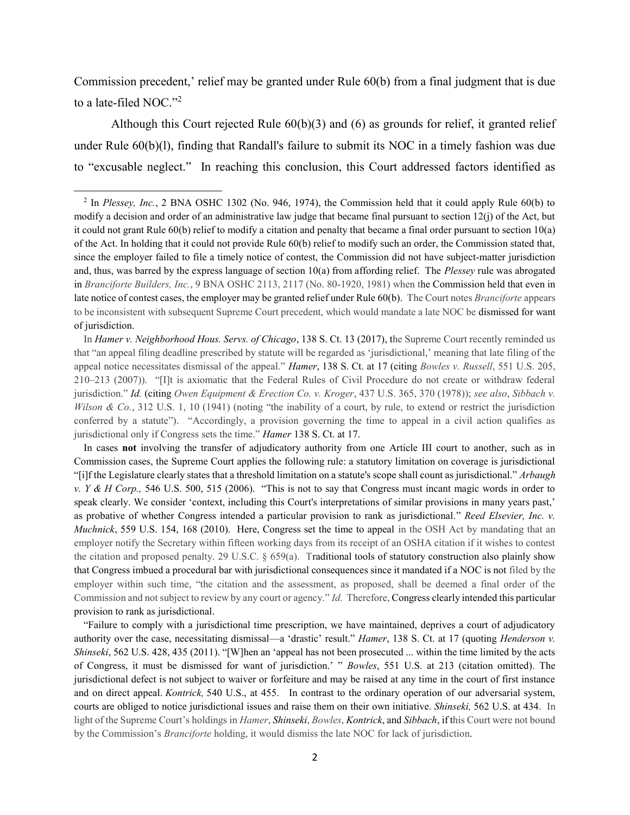Commission precedent,' relief may be granted under Rule 60(b) from a final judgment that is due to a late-filed NOC."<sup>2</sup>

Although this Court rejected Rule 60(b)(3) and (6) as grounds for relief, it granted relief under Rule 60(b)(l), finding that Randall's failure to submit its NOC in a timely fashion was due to "excusable neglect." In reaching this conclusion, this Court addressed factors identified as

 $\overline{\phantom{a}}$ 

In *Hamer v. Neighborhood Hous. Servs. of Chicago*, 138 S. Ct. 13 (2017), the Supreme Court recently reminded us that "an appeal filing deadline prescribed by statute will be regarded as 'jurisdictional,' meaning that late filing of the appeal notice necessitates dismissal of the appeal." *Hamer*, 138 S. Ct. at 17 (citing *Bowles v. Russell*, 551 U.S. 205, 210–213 (2007)). "[I]t is axiomatic that the Federal Rules of Civil Procedure do not create or withdraw federal jurisdiction." *Id.* (citing *Owen Equipment & Erection Co. v. Kroger*, 437 U.S. 365, 370 (1978)); *see also*, *Sibbach v. Wilson & Co.*, 312 U.S. 1, 10 (1941) (noting "the inability of a court, by rule, to extend or restrict the jurisdiction conferred by a statute"). "Accordingly, a provision governing the time to appeal in a civil action qualifies as jurisdictional only if Congress sets the time." *Hamer* 138 S. Ct. at 17.

In cases **not** involving the transfer of adjudicatory authority from one Article III court to another, such as in Commission cases, the Supreme Court applies the following rule: a statutory limitation on coverage is jurisdictional "[i]f the Legislature clearly states that a threshold limitation on a statute's scope shall count as jurisdictional." *Arbaugh v. Y & H Corp.,* 546 U.S. 500, 515 (2006). "This is not to say that Congress must incant magic words in order to speak clearly. We consider 'context, including this Court's interpretations of similar provisions in many years past,' as probative of whether Congress intended a particular provision to rank as jurisdictional*.*" *Reed Elsevier, Inc. v. Muchnick*, 559 U.S. 154, 168 (2010). Here, Congress set the time to appeal in the OSH Act by mandating that an employer notify the Secretary within fifteen working days from its receipt of an OSHA citation if it wishes to contest the citation and proposed penalty. 29 U.S.C. § 659(a). Traditional tools of statutory construction also plainly show that Congress imbued a procedural bar with jurisdictional consequences since it mandated if a NOC is not filed by the employer within such time, "the citation and the assessment, as proposed, shall be deemed a final order of the Commission and not subject to review by any court or agency." *Id.* Therefore, Congress clearly intended this particular provision to rank as jurisdictional.

"Failure to comply with a jurisdictional time prescription, we have maintained, deprives a court of adjudicatory authority over the case, necessitating dismissal—a 'drastic' result." *Hamer*, 138 S. Ct. at 17 (quoting *Henderson v. Shinseki*, 562 U.S. 428, 435 (2011). "[W]hen an 'appeal has not been prosecuted ... within the time limited by the acts of Congress, it must be dismissed for want of jurisdiction.' " *Bowles*, 551 U.S. at 213 (citation omitted). The jurisdictional defect is not subject to waiver or forfeiture and may be raised at any time in the court of first instance and on direct appeal. *Kontrick,* 540 U.S., at 455. In contrast to the ordinary operation of our adversarial system, courts are obliged to notice jurisdictional issues and raise them on their own initiative. *Shinseki,* 562 U.S. at 434. In light of the Supreme Court's holdings in *Hamer*, *Shinseki*, *Bowles*, *Kontrick*, and *Sibbach*, if this Court were not bound by the Commission's *Branciforte* holding, it would dismiss the late NOC for lack of jurisdiction.

<sup>2</sup> In *Plessey, Inc.*, 2 BNA OSHC 1302 (No. 946, 1974), the Commission held that it could apply Rule 60(b) to modify a decision and order of an administrative law judge that became final pursuant to section 12(j) of the Act, but it could not grant Rule 60(b) relief to modify a citation and penalty that became a final order pursuant to section 10(a) of the Act. In holding that it could not provide Rule 60(b) relief to modify such an order, the Commission stated that, since the employer failed to file a timely notice of contest, the Commission did not have subject-matter jurisdiction and, thus, was barred by the express language of section 10(a) from affording relief. The *Plessey* rule was abrogated in *Branciforte Builders, Inc.*, 9 BNA OSHC 2113, 2117 (No. 80-1920, 1981) when the Commission held that even in late notice of contest cases, the employer may be granted relief under Rule 60(b). The Court notes *Branciforte* appears to be inconsistent with subsequent Supreme Court precedent, which would mandate a late NOC be dismissed for want of jurisdiction.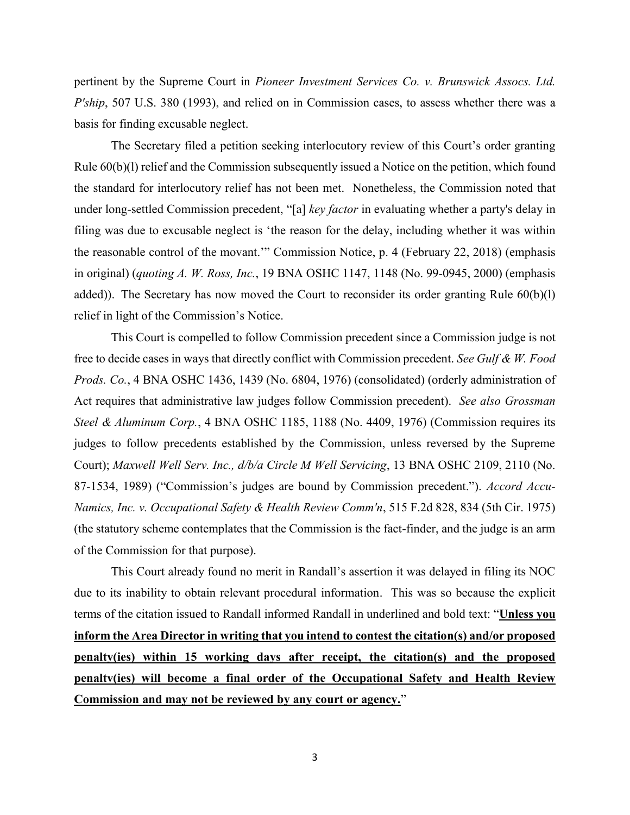pertinent by the Supreme Court in *Pioneer Investment Services Co. v. Brunswick Assocs. Ltd. P'ship*, 507 U.S. 380 (1993), and relied on in Commission cases, to assess whether there was a basis for finding excusable neglect.

The Secretary filed a petition seeking interlocutory review of this Court's order granting Rule 60(b)(l) relief and the Commission subsequently issued a Notice on the petition, which found the standard for interlocutory relief has not been met. Nonetheless, the Commission noted that under long-settled Commission precedent, "[a] *key factor* in evaluating whether a party's delay in filing was due to excusable neglect is 'the reason for the delay, including whether it was within the reasonable control of the movant.'" Commission Notice, p. 4 (February 22, 2018) (emphasis in original) (*quoting A. W. Ross, Inc.*, 19 BNA OSHC 1147, 1148 (No. 99-0945, 2000) (emphasis added)). The Secretary has now moved the Court to reconsider its order granting Rule 60(b)(l) relief in light of the Commission's Notice.

This Court is compelled to follow Commission precedent since a Commission judge is not free to decide cases in ways that directly conflict with Commission precedent. *See Gulf & W. Food Prods. Co.*, 4 BNA OSHC 1436, 1439 (No. 6804, 1976) (consolidated) (orderly administration of Act requires that administrative law judges follow Commission precedent). *See also Grossman Steel & Aluminum Corp.*, 4 BNA OSHC 1185, 1188 (No. 4409, 1976) (Commission requires its judges to follow precedents established by the Commission, unless reversed by the Supreme Court); *Maxwell Well Serv. Inc., d/b/a Circle M Well Servicing*, 13 BNA OSHC 2109, 2110 (No. 87-1534, 1989) ("Commission's judges are bound by Commission precedent."). *Accord Accu-Namics, Inc. v. Occupational Safety & Health Review Comm'n*, 515 F.2d 828, 834 (5th Cir. 1975) (the statutory scheme contemplates that the Commission is the fact-finder, and the judge is an arm of the Commission for that purpose).

This Court already found no merit in Randall's assertion it was delayed in filing its NOC due to its inability to obtain relevant procedural information. This was so because the explicit terms of the citation issued to Randall informed Randall in underlined and bold text: "**Unless you inform the Area Director in writing that you intend to contest the citation(s) and/or proposed penalty(ies) within 15 working days after receipt, the citation(s) and the proposed penaltv(ies) will become a final order of the Occupational Safety and Health Review Commission and may not be reviewed by any court or agency.**"